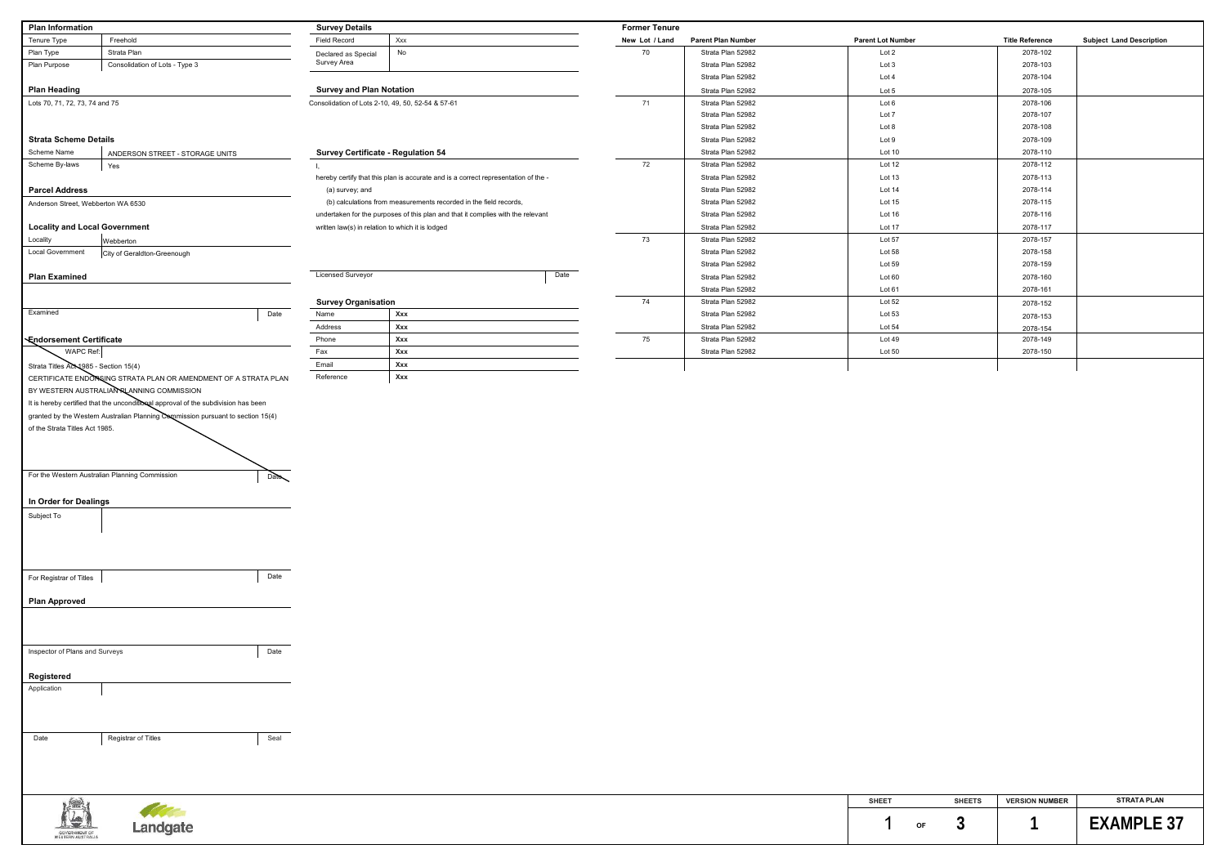| SHEET |    | <b>SHEETS</b> | <b>VERSION NUMBER</b> | <b>STRATA PLAN</b> |
|-------|----|---------------|-----------------------|--------------------|
|       | ΟF |               |                       | F X ANJPI          |

| <b>Plan Information</b>               |                                                                                    | <b>Survey Details</b>           |                                                                                    | <b>Former Tenure</b> |                    |                          |                        |                                 |
|---------------------------------------|------------------------------------------------------------------------------------|---------------------------------|------------------------------------------------------------------------------------|----------------------|--------------------|--------------------------|------------------------|---------------------------------|
| Tenure Type                           | Freehold                                                                           | Field Record                    | Xxx                                                                                | New Lot / Land       | Parent Plan Number | <b>Parent Lot Number</b> | <b>Title Reference</b> | <b>Subject Land Description</b> |
| Plan Type                             | Strata Plan                                                                        | Declared as Special             | No                                                                                 | 70                   | Strata Plan 52982  | Lot 2                    | 2078-102               |                                 |
| Plan Purpose                          | Consolidation of Lots - Type 3                                                     | Survey Area                     |                                                                                    |                      | Strata Plan 52982  | Lot 3                    | 2078-103               |                                 |
|                                       |                                                                                    |                                 |                                                                                    |                      | Strata Plan 52982  | Lot 4                    | 2078-104               |                                 |
| <b>Plan Heading</b>                   |                                                                                    | <b>Survey and Plan Notation</b> |                                                                                    |                      | Strata Plan 52982  | Lot 5                    | 2078-105               |                                 |
| Lots 70, 71, 72, 73, 74 and 75        |                                                                                    |                                 | Consolidation of Lots 2-10, 49, 50, 52-54 & 57-61                                  | 71                   | Strata Plan 52982  | Lot 6                    | 2078-106               |                                 |
|                                       |                                                                                    |                                 |                                                                                    |                      | Strata Plan 52982  | Lot 7                    | 2078-107               |                                 |
|                                       |                                                                                    |                                 |                                                                                    |                      | Strata Plan 52982  | Lot 8                    | 2078-108               |                                 |
| <b>Strata Scheme Details</b>          |                                                                                    |                                 |                                                                                    |                      | Strata Plan 52982  | Lot 9                    | 2078-109               |                                 |
| Scheme Name                           | ANDERSON STREET - STORAGE UNITS                                                    |                                 | <b>Survey Certificate - Regulation 54</b>                                          |                      | Strata Plan 52982  | Lot 10                   | 2078-110               |                                 |
| Scheme By-laws                        | Yes                                                                                |                                 |                                                                                    | 72                   | Strata Plan 52982  | Lot 12                   | 2078-112               |                                 |
|                                       |                                                                                    |                                 | hereby certify that this plan is accurate and is a correct representation of the - |                      | Strata Plan 52982  | Lot 13                   | 2078-113               |                                 |
| <b>Parcel Address</b>                 |                                                                                    | (a) survey; and                 |                                                                                    |                      | Strata Plan 52982  | Lot 14                   | 2078-114               |                                 |
| Anderson Street, Webberton WA 6530    |                                                                                    |                                 | (b) calculations from measurements recorded in the field records,                  |                      | Strata Plan 52982  | Lot 15                   | 2078-115               |                                 |
|                                       |                                                                                    |                                 | undertaken for the purposes of this plan and that it complies with the relevant    |                      | Strata Plan 52982  | Lot 16                   | 2078-116               |                                 |
| <b>Locality and Local Government</b>  |                                                                                    |                                 | written law(s) in relation to which it is lodged                                   |                      | Strata Plan 52982  | Lot 17                   | 2078-117               |                                 |
| Locality                              |                                                                                    |                                 |                                                                                    | 73                   | Strata Plan 52982  | Lot 57                   | 2078-157               |                                 |
|                                       | Webberton                                                                          |                                 |                                                                                    |                      |                    |                          |                        |                                 |
| <b>Local Government</b>               | City of Geraldton-Greenough                                                        |                                 |                                                                                    |                      | Strata Plan 52982  | Lot 58                   | 2078-158               |                                 |
|                                       |                                                                                    | <b>Licensed Surveyor</b>        |                                                                                    |                      | Strata Plan 52982  | Lot 59                   | 2078-159               |                                 |
| <b>Plan Examined</b>                  |                                                                                    |                                 | Date                                                                               |                      | Strata Plan 52982  | Lot 60                   | 2078-160               |                                 |
|                                       |                                                                                    |                                 |                                                                                    |                      | Strata Plan 52982  | Lot 61                   | 2078-161               |                                 |
|                                       |                                                                                    | <b>Survey Organisation</b>      |                                                                                    | 74                   | Strata Plan 52982  | Lot 52                   | 2078-152               |                                 |
| Examined                              |                                                                                    | Date<br>Name                    | Xxx                                                                                |                      | Strata Plan 52982  | Lot 53                   | 2078-153               |                                 |
|                                       |                                                                                    | Address                         | Xxx                                                                                |                      | Strata Plan 52982  | Lot 54                   | 2078-154               |                                 |
| <b>Endorsement Certificate</b>        |                                                                                    | Phone                           | Xxx                                                                                | 75                   | Strata Plan 52982  | Lot 49                   | 2078-149               |                                 |
| <b>WAPC Ref:</b>                      |                                                                                    | Fax                             | Xxx                                                                                |                      | Strata Plan 52982  | Lot 50                   | 2078-150               |                                 |
| Strata Titles ACL1985 - Section 15(4) |                                                                                    | Email                           | Xxx                                                                                |                      |                    |                          |                        |                                 |
|                                       | CERTIFICATE ENDORSING STRATA PLAN OR AMENDMENT OF A STRATA PLAN                    | Reference                       | Xxx                                                                                |                      |                    |                          |                        |                                 |
|                                       | BY WESTERN AUSTRALIAN RLANNING COMMISSION                                          |                                 |                                                                                    |                      |                    |                          |                        |                                 |
|                                       | It is hereby certified that the unconditional approval of the subdivision has been |                                 |                                                                                    |                      |                    |                          |                        |                                 |
|                                       | granted by the Western Australian Planning Commission pursuant to section 15(4)    |                                 |                                                                                    |                      |                    |                          |                        |                                 |
|                                       |                                                                                    |                                 |                                                                                    |                      |                    |                          |                        |                                 |
| of the Strata Titles Act 1985.        |                                                                                    |                                 |                                                                                    |                      |                    |                          |                        |                                 |
|                                       |                                                                                    |                                 |                                                                                    |                      |                    |                          |                        |                                 |
|                                       |                                                                                    |                                 |                                                                                    |                      |                    |                          |                        |                                 |
|                                       |                                                                                    |                                 |                                                                                    |                      |                    |                          |                        |                                 |
|                                       | For the Western Australian Planning Commission                                     | $P$ ale $\sim$                  |                                                                                    |                      |                    |                          |                        |                                 |
|                                       |                                                                                    |                                 |                                                                                    |                      |                    |                          |                        |                                 |
| In Order for Dealings                 |                                                                                    |                                 |                                                                                    |                      |                    |                          |                        |                                 |
| Subject To                            |                                                                                    |                                 |                                                                                    |                      |                    |                          |                        |                                 |
|                                       |                                                                                    |                                 |                                                                                    |                      |                    |                          |                        |                                 |
|                                       |                                                                                    |                                 |                                                                                    |                      |                    |                          |                        |                                 |
|                                       |                                                                                    |                                 |                                                                                    |                      |                    |                          |                        |                                 |
|                                       |                                                                                    |                                 |                                                                                    |                      |                    |                          |                        |                                 |
| For Registrar of Titles               |                                                                                    | Date                            |                                                                                    |                      |                    |                          |                        |                                 |
|                                       |                                                                                    |                                 |                                                                                    |                      |                    |                          |                        |                                 |
| <b>Plan Approved</b>                  |                                                                                    |                                 |                                                                                    |                      |                    |                          |                        |                                 |
|                                       |                                                                                    |                                 |                                                                                    |                      |                    |                          |                        |                                 |
|                                       |                                                                                    |                                 |                                                                                    |                      |                    |                          |                        |                                 |
|                                       |                                                                                    |                                 |                                                                                    |                      |                    |                          |                        |                                 |
| Inspector of Plans and Surveys        |                                                                                    | Date                            |                                                                                    |                      |                    |                          |                        |                                 |
|                                       |                                                                                    |                                 |                                                                                    |                      |                    |                          |                        |                                 |
|                                       |                                                                                    |                                 |                                                                                    |                      |                    |                          |                        |                                 |
| Registered                            |                                                                                    |                                 |                                                                                    |                      |                    |                          |                        |                                 |
| Application                           |                                                                                    |                                 |                                                                                    |                      |                    |                          |                        |                                 |
|                                       |                                                                                    |                                 |                                                                                    |                      |                    |                          |                        |                                 |
|                                       |                                                                                    |                                 |                                                                                    |                      |                    |                          |                        |                                 |
|                                       |                                                                                    |                                 |                                                                                    |                      |                    |                          |                        |                                 |
| Date                                  | Registrar of Titles                                                                | Seal                            |                                                                                    |                      |                    |                          |                        |                                 |
|                                       |                                                                                    |                                 |                                                                                    |                      |                    |                          |                        |                                 |
|                                       |                                                                                    |                                 |                                                                                    |                      |                    |                          |                        |                                 |
|                                       |                                                                                    |                                 |                                                                                    |                      |                    |                          |                        |                                 |

|                                 | CUTE |  |
|---------------------------------|------|--|
|                                 |      |  |
| <b>GOVERNMENT DE</b>            |      |  |
| 그는 아이들이 아이들은 아이들이 아이들은 아이들이 있다. |      |  |

| <b>Title Reference</b> | <b>Subject Land Description</b> |
|------------------------|---------------------------------|
| 2078-102               |                                 |
| 2078-103               |                                 |
| 2078-104               |                                 |
| 2078-105               |                                 |
| 2078-106               |                                 |
| 2078-107               |                                 |
| 2078-108               |                                 |
| 2078-109               |                                 |
| 2078-110               |                                 |
| 2078-112               |                                 |
| 2078-113               |                                 |
| 2078-114               |                                 |
| 2078-115               |                                 |
| 2078-116               |                                 |
| 2078-117               |                                 |
| 2078-157               |                                 |
| 2078-158               |                                 |
| 2078-159               |                                 |
| 2078-160               |                                 |
| 2078-161               |                                 |
| 2078-152               |                                 |
| 2078-153               |                                 |
| 2078-154               |                                 |
| 2078-149               |                                 |
| 2078-150               |                                 |
|                        |                                 |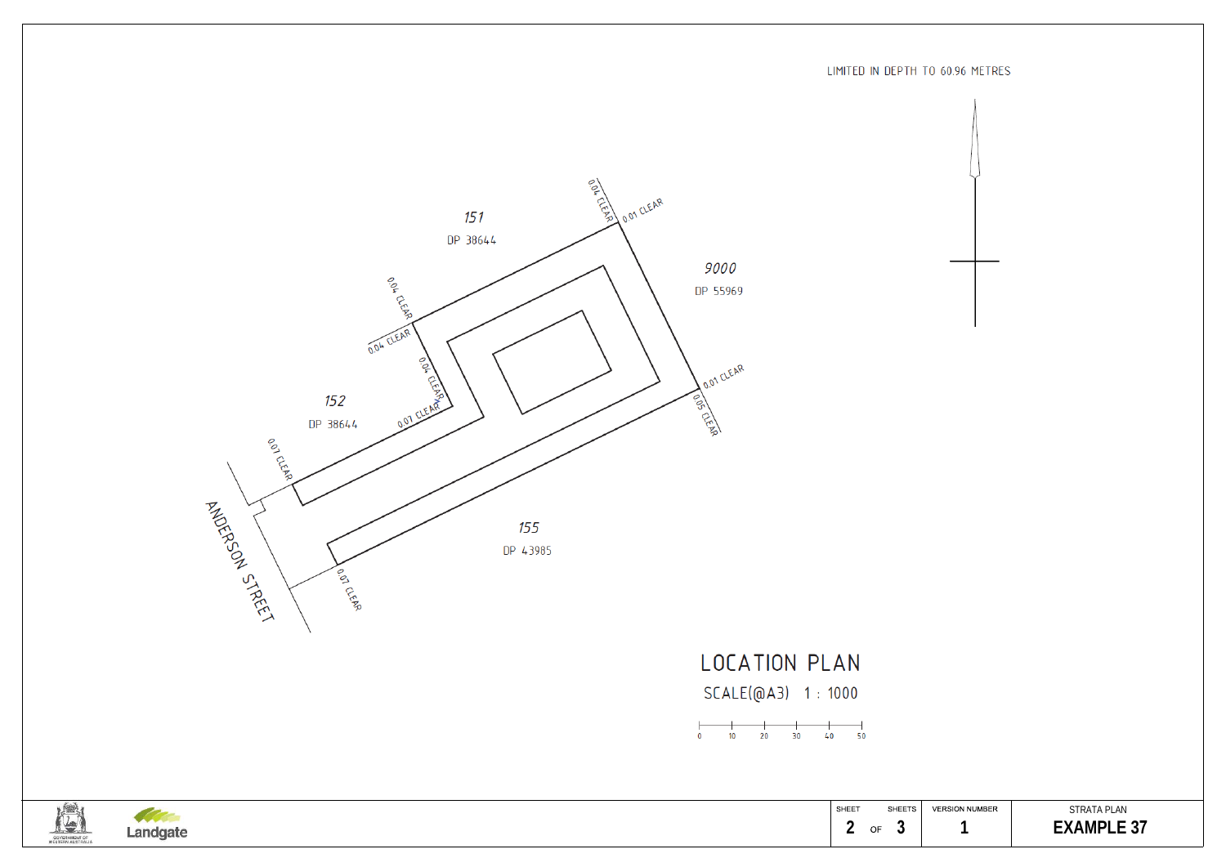

LOCATION PLAN

SCALE(@A3) 1:1000







## SHEET SHEETS | VERSION NUMBER | STRATA PLAN 1 **EXAMPLE 37**